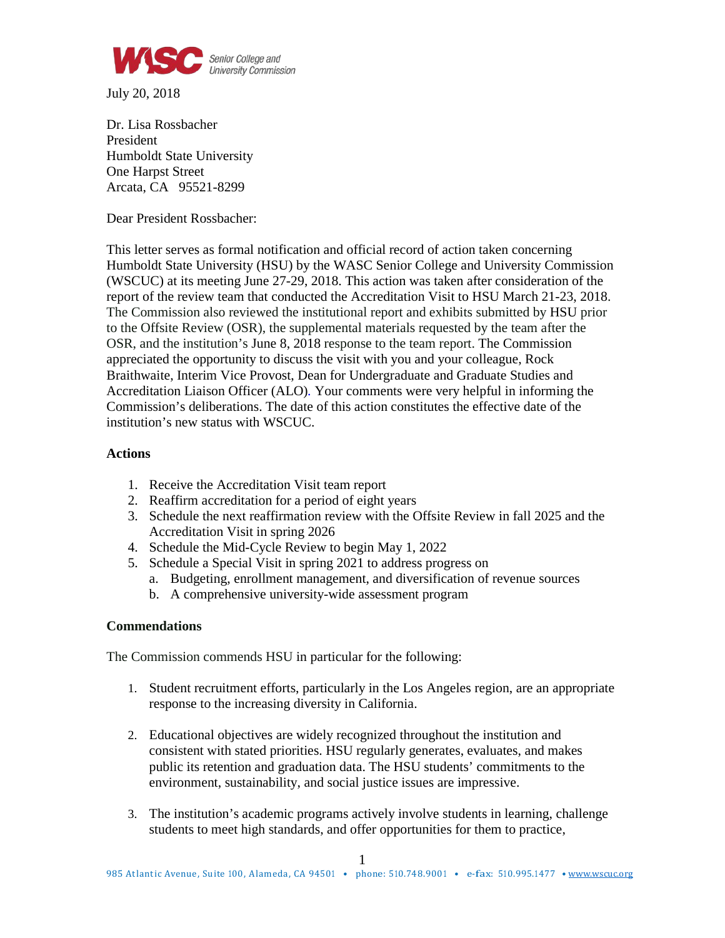

July 20, 2018

Dr. Lisa Rossbacher President Humboldt State University One Harpst Street Arcata, CA 95521-8299

Dear President Rossbacher:

This letter serves as formal notification and official record of action taken concerning Humboldt State University (HSU) by the WASC Senior College and University Commission (WSCUC) at its meeting June 27-29, 2018. This action was taken after consideration of the report of the review team that conducted the Accreditation Visit to HSU March 21-23, 2018. The Commission also reviewed the institutional report and exhibits submitted by HSU prior to the Offsite Review (OSR), the supplemental materials requested by the team after the OSR, and the institution's June 8, 2018 response to the team report. The Commission appreciated the opportunity to discuss the visit with you and your colleague, Rock Braithwaite, Interim Vice Provost, Dean for Undergraduate and Graduate Studies and Accreditation Liaison Officer (ALO)*.* Your comments were very helpful in informing the Commission's deliberations. The date of this action constitutes the effective date of the institution's new status with WSCUC.

## **Actions**

- 1. Receive the Accreditation Visit team report
- 2. Reaffirm accreditation for a period of eight years
- 3. Schedule the next reaffirmation review with the Offsite Review in fall 2025 and the Accreditation Visit in spring 2026
- 4. Schedule the Mid-Cycle Review to begin May 1, 2022
- 5. Schedule a Special Visit in spring 2021 to address progress on
	- a. Budgeting, enrollment management, and diversification of revenue sources
	- b. A comprehensive university-wide assessment program

## **Commendations**

The Commission commends HSU in particular for the following:

- 1. Student recruitment efforts, particularly in the Los Angeles region, are an appropriate response to the increasing diversity in California.
- 2. Educational objectives are widely recognized throughout the institution and consistent with stated priorities. HSU regularly generates, evaluates, and makes public its retention and graduation data. The HSU students' commitments to the environment, sustainability, and social justice issues are impressive.
- 3. The institution's academic programs actively involve students in learning, challenge students to meet high standards, and offer opportunities for them to practice,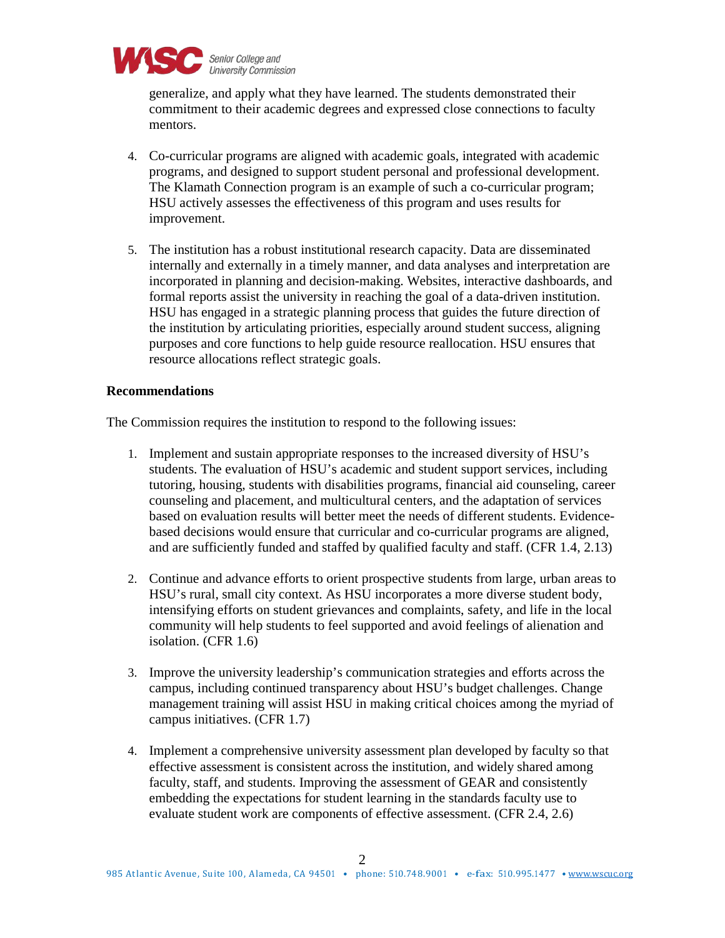

generalize, and apply what they have learned. The students demonstrated their commitment to their academic degrees and expressed close connections to faculty mentors.

- 4. Co-curricular programs are aligned with academic goals, integrated with academic programs, and designed to support student personal and professional development. The Klamath Connection program is an example of such a co-curricular program; HSU actively assesses the effectiveness of this program and uses results for improvement.
- 5. The institution has a robust institutional research capacity. Data are disseminated internally and externally in a timely manner, and data analyses and interpretation are incorporated in planning and decision-making. Websites, interactive dashboards, and formal reports assist the university in reaching the goal of a data-driven institution. HSU has engaged in a strategic planning process that guides the future direction of the institution by articulating priorities, especially around student success, aligning purposes and core functions to help guide resource reallocation. HSU ensures that resource allocations reflect strategic goals.

## **Recommendations**

The Commission requires the institution to respond to the following issues:

- 1. Implement and sustain appropriate responses to the increased diversity of HSU's students. The evaluation of HSU's academic and student support services, including tutoring, housing, students with disabilities programs, financial aid counseling, career counseling and placement, and multicultural centers, and the adaptation of services based on evaluation results will better meet the needs of different students. Evidencebased decisions would ensure that curricular and co-curricular programs are aligned, and are sufficiently funded and staffed by qualified faculty and staff. (CFR 1.4, 2.13)
- 2. Continue and advance efforts to orient prospective students from large, urban areas to HSU's rural, small city context. As HSU incorporates a more diverse student body, intensifying efforts on student grievances and complaints, safety, and life in the local community will help students to feel supported and avoid feelings of alienation and isolation. (CFR 1.6)
- 3. Improve the university leadership's communication strategies and efforts across the campus, including continued transparency about HSU's budget challenges. Change management training will assist HSU in making critical choices among the myriad of campus initiatives. (CFR 1.7)
- 4. Implement a comprehensive university assessment plan developed by faculty so that effective assessment is consistent across the institution, and widely shared among faculty, staff, and students. Improving the assessment of GEAR and consistently embedding the expectations for student learning in the standards faculty use to evaluate student work are components of effective assessment. (CFR 2.4, 2.6)